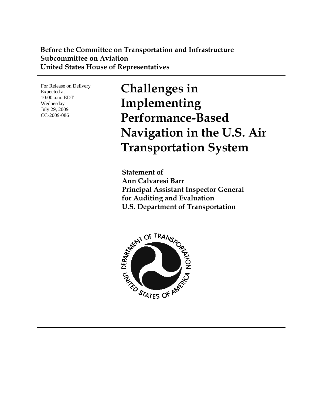### **Before the Committee on Transportation and Infrastructure Subcommittee on Aviation United States House of Representatives**

For Release on Delivery Expected at 10:00 a.m. EDT Wednesday July 29, 2009 CC-2009-086

**Challenges in Implementing Performance-Based Navigation in the U.S. Air Transportation System** 

**Statement of Ann Calvaresi Barr Principal Assistant Inspector General for Auditing and Evaluation U.S. Department of Transportation** 

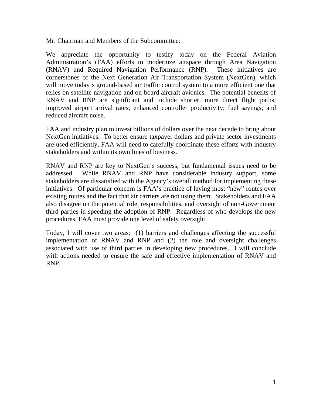Mr. Chairman and Members of the Subcommittee:

We appreciate the opportunity to testify today on the Federal Aviation Administration's (FAA) efforts to modernize airspace through Area Navigation (RNAV) and Required Navigation Performance (RNP). These initiatives are cornerstones of the Next Generation Air Transportation System (NextGen), which will move today's ground-based air traffic control system to a more efficient one that relies on satellite navigation and on-board aircraft avionics. The potential benefits of RNAV and RNP are significant and include shorter, more direct flight paths; improved airport arrival rates; enhanced controller productivity; fuel savings; and reduced aircraft noise.

FAA and industry plan to invest billions of dollars over the next decade to bring about NextGen initiatives. To better ensure taxpayer dollars and private sector investments are used efficiently, FAA will need to carefully coordinate these efforts with industry stakeholders and within its own lines of business.

RNAV and RNP are key to NextGen's success, but fundamental issues need to be addressed. While RNAV and RNP have considerable industry support, some stakeholders are dissatisfied with the Agency's overall method for implementing these initiatives. Of particular concern is FAA's practice of laying most "new" routes over existing routes and the fact that air carriers are not using them. Stakeholders and FAA also disagree on the potential role, responsibilities, and oversight of non-Government third parties in speeding the adoption of RNP. Regardless of who develops the new procedures, FAA must provide one level of safety oversight.

Today, I will cover two areas: (1) barriers and challenges affecting the successful implementation of RNAV and RNP and (2) the role and oversight challenges associated with use of third parties in developing new procedures. I will conclude with actions needed to ensure the safe and effective implementation of RNAV and RNP.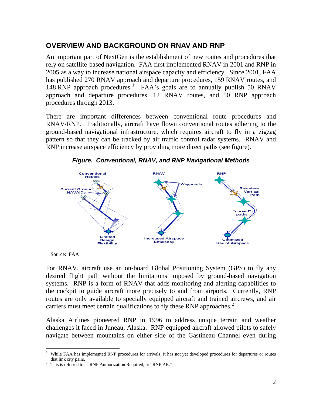### **OVERVIEW AND BACKGROUND ON RNAV AND RNP**

An important part of NextGen is the establishment of new routes and procedures that rely on satellite-based navigation. FAA first implemented RNAV in 2001 and RNP in 2005 as a way to increase national airspace capacity and efficiency. Since 2001, FAA has published 270 RNAV approach and departure procedures, 159 RNAV routes, and [1](#page-2-0)48 RNP approach procedures.<sup>1</sup> FAA's goals are to annually publish 50 RNAV approach and departure procedures, 12 RNAV routes, and 50 RNP approach procedures through 2013.

There are important differences between conventional route procedures and RNAV/RNP. Traditionally, aircraft have flown conventional routes adhering to the ground-based navigational infrastructure, which requires aircraft to fly in a zigzag pattern so that they can be tracked by air traffic control radar systems. RNAV and RNP increase airspace efficiency by providing more direct paths (see figure).



*Figure. Conventional, RNAV, and RNP Navigational Methods* 

Source: FAA

 $\overline{a}$ 

For RNAV, aircraft use an on-board Global Positioning System (GPS) to fly any desired flight path without the limitations imposed by ground-based navigation systems. RNP is a form of RNAV that adds monitoring and alerting capabilities to the cockpit to guide aircraft more precisely to and from airports. Currently, RNP routes are only available to specially equipped aircraft and trained aircrews, and air carriers must meet certain qualifications to fly these RNP approaches.<sup>[2](#page-2-1)</sup>

Alaska Airlines pioneered RNP in 1996 to address unique terrain and weather challenges it faced in Juneau, Alaska. RNP-equipped aircraft allowed pilots to safely navigate between mountains on either side of the Gastineau Channel even during

<span id="page-2-0"></span><sup>1</sup> While FAA has implemented RNP procedures for arrivals, it has not yet developed procedures for departures or routes that link city pairs.<br><sup>2</sup> This is referred to as RNP Authorization Required, or "RNP AR."

<span id="page-2-1"></span>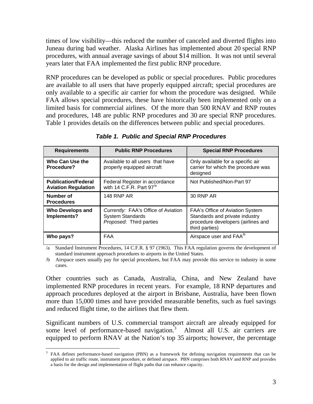times of low visibility—this reduced the number of canceled and diverted flights into Juneau during bad weather. Alaska Airlines has implemented about 20 special RNP procedures, with annual average savings of about \$14 million. It was not until several years later that FAA implemented the first public RNP procedure.

RNP procedures can be developed as public or special procedures. Public procedures are available to all users that have properly equipped aircraft; special procedures are only available to a specific air carrier for whom the procedure was designed. While FAA allows special procedures, these have historically been implemented only on a limited basis for commercial airlines. Of the more than 500 RNAV and RNP routes and procedures, 148 are public RNP procedures and 30 are special RNP procedures. Table 1 provides details on the differences between public and special procedures.

| <b>Requirements</b>                                      | <b>Public RNP Procedures</b>                                                              | <b>Special RNP Procedures</b>                                                                                                    |
|----------------------------------------------------------|-------------------------------------------------------------------------------------------|----------------------------------------------------------------------------------------------------------------------------------|
| Who Can Use the<br>Procedure?                            | Available to all users that have<br>properly equipped aircraft                            | Only available for a specific air<br>carrier for which the procedure was<br>designed                                             |
| <b>Publication/Federal</b><br><b>Aviation Regulation</b> | Federal Register in accordance<br>with 14 C.F.R. Part 97 <sup>/a</sup>                    | Not Published/Non-Part 97                                                                                                        |
| <b>Number of</b><br><b>Procedures</b>                    | <b>148 RNP AR</b>                                                                         | 30 RNP AR                                                                                                                        |
| <b>Who Develops and</b><br>Implements?                   | Currently: FAA's Office of Aviation<br><b>System Standards</b><br>Proposed: Third parties | <b>FAA's Office of Aviation System</b><br>Standards and private industry<br>procedure developers (airlines and<br>third parties) |
| Who pays?                                                | <b>FAA</b>                                                                                | Airspace user and FAA <sup>/b</sup>                                                                                              |

*Table 1. Public and Special RNP Procedures* 

Standard Instrument Procedures, 14 C.F.R. § 97 (1963). This FAA regulation governs the development of standard instrument approach procedures to airports in the United States.

/b Airspace users usually pay for special procedures, but FAA may provide this service to industry in some cases.

Other countries such as Canada, Australia, China, and New Zealand have implemented RNP procedures in recent years. For example, 18 RNP departures and approach procedures deployed at the airport in Brisbane, Australia, have been flown more than 15,000 times and have provided measurable benefits, such as fuel savings and reduced flight time, to the airlines that flew them.

Significant numbers of U.S. commercial transport aircraft are already equipped for some level of performance-based navigation.<sup>[3](#page-3-0)</sup> Almost all U.S. air carriers are equipped to perform RNAV at the Nation's top 35 airports; however, the percentage

 $\overline{a}$ 

<span id="page-3-0"></span><sup>3</sup> FAA defines performance-based navigation (PBN) as a framework for defining navigation requirements that can be applied to air traffic route, instrument procedure, or defined airspace. PBN comprises both RNAV and RNP and provides a basis for the design and implementation of flight paths that can enhance capacity.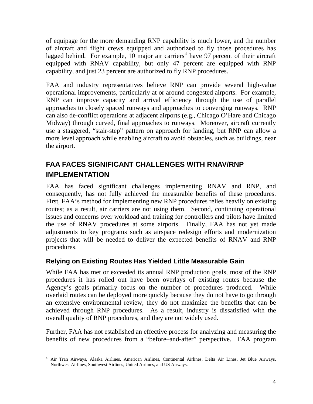of equipage for the more demanding RNP capability is much lower, and the number of aircraft and flight crews equipped and authorized to fly those procedures has lagged behind. For example,  $10 \text{ major air carriers}^4$  $10 \text{ major air carriers}^4$  have 97 percent of their aircraft equipped with RNAV capability, but only 47 percent are equipped with RNP capability, and just 23 percent are authorized to fly RNP procedures.

FAA and industry representatives believe RNP can provide several high-value operational improvements, particularly at or around congested airports. For example, RNP can improve capacity and arrival efficiency through the use of parallel approaches to closely spaced runways and approaches to converging runways. RNP can also de-conflict operations at adjacent airports (e.g., Chicago O'Hare and Chicago Midway) through curved, final approaches to runways. Moreover, aircraft currently use a staggered, "stair-step" pattern on approach for landing, but RNP can allow a more level approach while enabling aircraft to avoid obstacles, such as buildings, near the airport.

# **FAA FACES SIGNIFICANT CHALLENGES WITH RNAV/RNP IMPLEMENTATION**

FAA has faced significant challenges implementing RNAV and RNP, and consequently, has not fully achieved the measurable benefits of these procedures. First, FAA's method for implementing new RNP procedures relies heavily on existing routes; as a result, air carriers are not using them. Second, continuing operational issues and concerns over workload and training for controllers and pilots have limited the use of RNAV procedures at some airports. Finally, FAA has not yet made adjustments to key programs such as airspace redesign efforts and modernization projects that will be needed to deliver the expected benefits of RNAV and RNP procedures.

### **Relying on Existing Routes Has Yielded Little Measurable Gain**

While FAA has met or exceeded its annual RNP production goals, most of the RNP procedures it has rolled out have been overlays of existing routes because the Agency's goals primarily focus on the number of procedures produced. While overlaid routes can be deployed more quickly because they do not have to go through an extensive environmental review, they do not maximize the benefits that can be achieved through RNP procedures. As a result, industry is dissatisfied with the overall quality of RNP procedures, and they are not widely used.

Further, FAA has not established an effective process for analyzing and measuring the benefits of new procedures from a "before–and-after" perspective. FAA program

<span id="page-4-0"></span> 4 Air Tran Airways, Alaska Airlines, American Airlines, Continental Airlines, Delta Air Lines, Jet Blue Airways, Northwest Airlines, Southwest Airlines, United Airlines, and US Airways.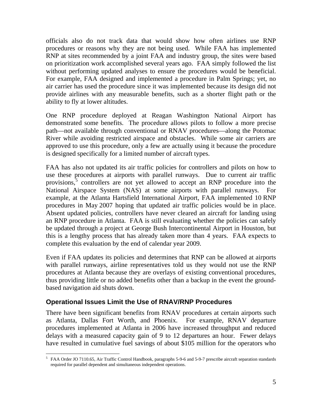officials also do not track data that would show how often airlines use RNP procedures or reasons why they are not being used. While FAA has implemented RNP at sites recommended by a joint FAA and industry group, the sites were based on prioritization work accomplished several years ago. FAA simply followed the list without performing updated analyses to ensure the procedures would be beneficial. For example, FAA designed and implemented a procedure in Palm Springs; yet, no air carrier has used the procedure since it was implemented because its design did not provide airlines with any measurable benefits, such as a shorter flight path or the ability to fly at lower altitudes.

One RNP procedure deployed at Reagan Washington National Airport has demonstrated some benefits. The procedure allows pilots to follow a more precise path—not available through conventional or RNAV procedures—along the Potomac River while avoiding restricted airspace and obstacles. While some air carriers are approved to use this procedure, only a few are actually using it because the procedure is designed specifically for a limited number of aircraft types.

FAA has also not updated its air traffic policies for controllers and pilots on how to use these procedures at airports with parallel runways. Due to current air traffic provisions, $\tilde{5}$  $\tilde{5}$  $\tilde{5}$  controllers are not yet allowed to accept an RNP procedure into the National Airspace System (NAS) at some airports with parallel runways. For example, at the Atlanta Hartsfield International Airport, FAA implemented 10 RNP procedures in May 2007 hoping that updated air traffic policies would be in place. Absent updated policies, controllers have never cleared an aircraft for landing using an RNP procedure in Atlanta. FAA is still evaluating whether the policies can safely be updated through a project at George Bush Intercontinental Airport in Houston, but this is a lengthy process that has already taken more than 4 years. FAA expects to complete this evaluation by the end of calendar year 2009.

Even if FAA updates its policies and determines that RNP can be allowed at airports with parallel runways, airline representatives told us they would not use the RNP procedures at Atlanta because they are overlays of existing conventional procedures, thus providing little or no added benefits other than a backup in the event the groundbased navigation aid shuts down.

#### **Operational Issues Limit the Use of RNAV/RNP Procedures**

There have been significant benefits from RNAV procedures at certain airports such as Atlanta, Dallas Fort Worth, and Phoenix. For example, RNAV departure procedures implemented at Atlanta in 2006 have increased throughput and reduced delays with a measured capacity gain of 9 to 12 departures an hour. Fewer delays have resulted in cumulative fuel savings of about \$105 million for the operators who

<span id="page-5-0"></span> 5 FAA Order JO 7110.65, Air Traffic Control Handbook, paragraphs 5-9-6 and 5-9-7 prescribe aircraft separation standards required for parallel dependent and simultaneous independent operations.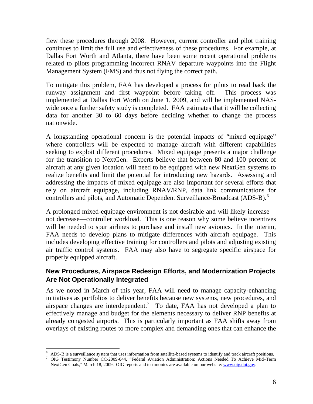flew these procedures through 2008. However, current controller and pilot training continues to limit the full use and effectiveness of these procedures. For example, at Dallas Fort Worth and Atlanta, there have been some recent operational problems related to pilots programming incorrect RNAV departure waypoints into the Flight Management System (FMS) and thus not flying the correct path.

To mitigate this problem, FAA has developed a process for pilots to read back the runway assignment and first waypoint before taking off. This process was implemented at Dallas Fort Worth on June 1, 2009, and will be implemented NASwide once a further safety study is completed. FAA estimates that it will be collecting data for another 30 to 60 days before deciding whether to change the process nationwide.

A longstanding operational concern is the potential impacts of "mixed equipage" where controllers will be expected to manage aircraft with different capabilities seeking to exploit different procedures. Mixed equipage presents a major challenge for the transition to NextGen. Experts believe that between 80 and 100 percent of aircraft at any given location will need to be equipped with new NextGen systems to realize benefits and limit the potential for introducing new hazards. Assessing and addressing the impacts of mixed equipage are also important for several efforts that rely on aircraft equipage, including RNAV/RNP, data link communications for controllers and pilots, and Automatic Dependent Surveillance-Broadcast (ADS-B).<sup>[6](#page-6-0)</sup>

A prolonged mixed-equipage environment is not desirable and will likely increase not decrease—controller workload. This is one reason why some believe incentives will be needed to spur airlines to purchase and install new avionics. In the interim, FAA needs to develop plans to mitigate differences with aircraft equipage. This includes developing effective training for controllers and pilots and adjusting existing air traffic control systems. FAA may also have to segregate specific airspace for properly equipped aircraft.

### **New Procedures, Airspace Redesign Efforts, and Modernization Projects Are Not Operationally Integrated**

As we noted in March of this year, FAA will need to manage capacity-enhancing initiatives as portfolios to deliver benefits because new systems, new procedures, and airspace changes are interdependent.<sup>[7](#page-6-1)</sup> To date, FAA has not developed a plan to effectively manage and budget for the elements necessary to deliver RNP benefits at already congested airports. This is particularly important as FAA shifts away from overlays of existing routes to more complex and demanding ones that can enhance the

 $\overline{a}$ 

<span id="page-6-0"></span><sup>6</sup> ADS-B is a surveillance system that uses information from satellite-based systems to identify and track aircraft positions.

<span id="page-6-1"></span><sup>7</sup> OIG Testimony Number CC-2009-044, "Federal Aviation Administration: Actions Needed To Achieve Mid–Term NextGen Goals," March 18, 2009. OIG reports and testimonies are available on our website: [www.oig.dot.gov.](http://www.oig.dot.gov/)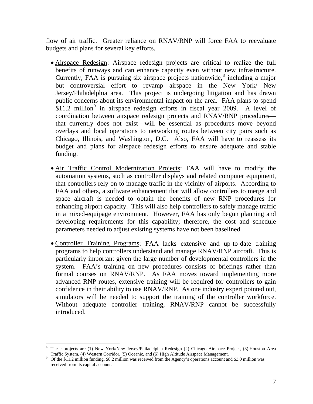flow of air traffic. Greater reliance on RNAV/RNP will force FAA to reevaluate budgets and plans for several key efforts.

- Airspace Redesign: Airspace redesign projects are critical to realize the full benefits of runways and can enhance capacity even without new infrastructure. Currently, FAA is pursuing six airspace projects nationwide, $\delta$  including a major but controversial effort to revamp airspace in the New York/ New Jersey/Philadelphia area. This project is undergoing litigation and has drawn public concerns about its environmental impact on the area. FAA plans to spend  $$11.2$  million<sup>[9](#page-7-1)</sup> in airspace redesign efforts in fiscal year 2009. A level of coordination between airspace redesign projects and RNAV/RNP procedures that currently does not exist—will be essential as procedures move beyond overlays and local operations to networking routes between city pairs such as Chicago, Illinois, and Washington, D.C. Also, FAA will have to reassess its budget and plans for airspace redesign efforts to ensure adequate and stable funding.
- Air Traffic Control Modernization Projects: FAA will have to modify the automation systems, such as controller displays and related computer equipment, that controllers rely on to manage traffic in the vicinity of airports. According to FAA and others, a software enhancement that will allow controllers to merge and space aircraft is needed to obtain the benefits of new RNP procedures for enhancing airport capacity. This will also help controllers to safely manage traffic in a mixed-equipage environment. However, FAA has only begun planning and developing requirements for this capability; therefore, the cost and schedule parameters needed to adjust existing systems have not been baselined.
- Controller Training Programs: FAA lacks extensive and up-to-date training programs to help controllers understand and manage RNAV/RNP aircraft. This is particularly important given the large number of developmental controllers in the system. FAA's training on new procedures consists of briefings rather than formal courses on RNAV/RNP. As FAA moves toward implementing more advanced RNP routes, extensive training will be required for controllers to gain confidence in their ability to use RNAV/RNP. As one industry expert pointed out, simulators will be needed to support the training of the controller workforce. Without adequate controller training, RNAV/RNP cannot be successfully introduced.

 $\overline{a}$ 

<span id="page-7-1"></span><span id="page-7-0"></span><sup>8</sup> These projects are (1) New York/New Jersey/Philadelphia Redesign (2) Chicago Airspace Project, (3) Houston Area Traffic System, (4) Western Corridor, (5) Oceanic, and (6) High Altitude Airspace Management. 9 Of the \$11.2 million funding, \$8.2 million was received from the Agency's operations account and \$3.0 million was

received from its capital account.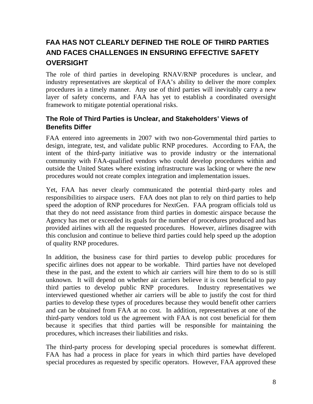# **FAA HAS NOT CLEARLY DEFINED THE ROLE OF THIRD PARTIES AND FACES CHALLENGES IN ENSURING EFFECTIVE SAFETY OVERSIGHT**

The role of third parties in developing RNAV/RNP procedures is unclear, and industry representatives are skeptical of FAA's ability to deliver the more complex procedures in a timely manner. Any use of third parties will inevitably carry a new layer of safety concerns, and FAA has yet to establish a coordinated oversight framework to mitigate potential operational risks.

### **The Role of Third Parties is Unclear, and Stakeholders' Views of Benefits Differ**

FAA entered into agreements in 2007 with two non-Governmental third parties to design, integrate, test, and validate public RNP procedures. According to FAA, the intent of the third-party initiative was to provide industry or the international community with FAA-qualified vendors who could develop procedures within and outside the United States where existing infrastructure was lacking or where the new procedures would not create complex integration and implementation issues.

Yet, FAA has never clearly communicated the potential third-party roles and responsibilities to airspace users. FAA does not plan to rely on third parties to help speed the adoption of RNP procedures for NextGen. FAA program officials told us that they do not need assistance from third parties in domestic airspace because the Agency has met or exceeded its goals for the number of procedures produced and has provided airlines with all the requested procedures. However, airlines disagree with this conclusion and continue to believe third parties could help speed up the adoption of quality RNP procedures.

In addition, the business case for third parties to develop public procedures for specific airlines does not appear to be workable. Third parties have not developed these in the past, and the extent to which air carriers will hire them to do so is still unknown. It will depend on whether air carriers believe it is cost beneficial to pay third parties to develop public RNP procedures. Industry representatives we interviewed questioned whether air carriers will be able to justify the cost for third parties to develop these types of procedures because they would benefit other carriers and can be obtained from FAA at no cost. In addition, representatives at one of the third-party vendors told us the agreement with FAA is not cost beneficial for them because it specifies that third parties will be responsible for maintaining the procedures, which increases their liabilities and risks.

The third-party process for developing special procedures is somewhat different. FAA has had a process in place for years in which third parties have developed special procedures as requested by specific operators. However, FAA approved these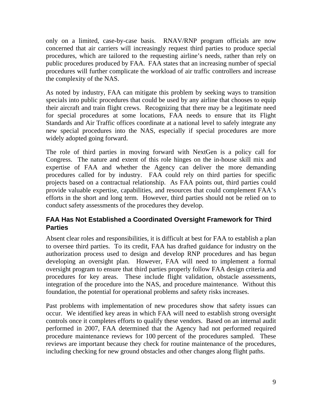only on a limited, case-by-case basis. RNAV/RNP program officials are now concerned that air carriers will increasingly request third parties to produce special procedures, which are tailored to the requesting airline's needs, rather than rely on public procedures produced by FAA. FAA states that an increasing number of special procedures will further complicate the workload of air traffic controllers and increase the complexity of the NAS.

As noted by industry, FAA can mitigate this problem by seeking ways to transition specials into public procedures that could be used by any airline that chooses to equip their aircraft and train flight crews. Recognizing that there may be a legitimate need for special procedures at some locations, FAA needs to ensure that its Flight Standards and Air Traffic offices coordinate at a national level to safely integrate any new special procedures into the NAS, especially if special procedures are more widely adopted going forward.

The role of third parties in moving forward with NextGen is a policy call for Congress. The nature and extent of this role hinges on the in-house skill mix and expertise of FAA and whether the Agency can deliver the more demanding procedures called for by industry. FAA could rely on third parties for specific projects based on a contractual relationship. As FAA points out, third parties could provide valuable expertise, capabilities, and resources that could complement FAA's efforts in the short and long term. However, third parties should not be relied on to conduct safety assessments of the procedures they develop.

### **FAA Has Not Established a Coordinated Oversight Framework for Third Parties**

Absent clear roles and responsibilities, it is difficult at best for FAA to establish a plan to oversee third parties. To its credit, FAA has drafted guidance for industry on the authorization process used to design and develop RNP procedures and has begun developing an oversight plan. However, FAA will need to implement a formal oversight program to ensure that third parties properly follow FAA design criteria and procedures for key areas. These include flight validation, obstacle assessments, integration of the procedure into the NAS, and procedure maintenance. Without this foundation, the potential for operational problems and safety risks increases.

Past problems with implementation of new procedures show that safety issues can occur. We identified key areas in which FAA will need to establish strong oversight controls once it completes efforts to qualify these vendors. Based on an internal audit performed in 2007, FAA determined that the Agency had not performed required procedure maintenance reviews for 100 percent of the procedures sampled. These reviews are important because they check for routine maintenance of the procedures, including checking for new ground obstacles and other changes along flight paths.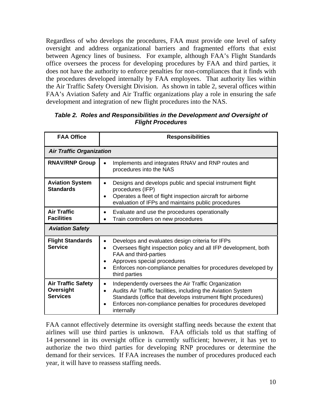Regardless of who develops the procedures, FAA must provide one level of safety oversight and address organizational barriers and fragmented efforts that exist between Agency lines of business. For example, although FAA's Flight Standards office oversees the process for developing procedures by FAA and third parties, it does not have the authority to enforce penalties for non-compliances that it finds with the procedures developed internally by FAA employees. That authority lies within the Air Traffic Safety Oversight Division. As shown in table 2, several offices within FAA's Aviation Safety and Air Traffic organizations play a role in ensuring the safe development and integration of new flight procedures into the NAS.

| <b>FAA Office</b>                                         | <b>Responsibilities</b>                                                                                                                                                                                                                                                                |  |
|-----------------------------------------------------------|----------------------------------------------------------------------------------------------------------------------------------------------------------------------------------------------------------------------------------------------------------------------------------------|--|
| <b>Air Traffic Organization</b>                           |                                                                                                                                                                                                                                                                                        |  |
| <b>RNAV/RNP Group</b>                                     | Implements and integrates RNAV and RNP routes and<br>procedures into the NAS                                                                                                                                                                                                           |  |
| <b>Aviation System</b><br><b>Standards</b>                | Designs and develops public and special instrument flight<br>$\bullet$<br>procedures (IFP)<br>Operates a fleet of flight inspection aircraft for airborne<br>$\bullet$<br>evaluation of IFPs and maintains public procedures                                                           |  |
| <b>Air Traffic</b><br><b>Facilities</b>                   | Evaluate and use the procedures operationally<br>Train controllers on new procedures                                                                                                                                                                                                   |  |
| <b>Aviation Safety</b>                                    |                                                                                                                                                                                                                                                                                        |  |
| <b>Flight Standards</b><br><b>Service</b>                 | Develops and evaluates design criteria for IFPs<br>$\bullet$<br>Oversees flight inspection policy and all IFP development, both<br>$\bullet$<br>FAA and third-parties<br>Approves special procedures<br>Enforces non-compliance penalties for procedures developed by<br>third parties |  |
| <b>Air Traffic Safety</b><br>Oversight<br><b>Services</b> | Independently oversees the Air Traffic Organization<br>$\bullet$<br>Audits Air Traffic facilities, including the Aviation System<br>Standards (office that develops instrument flight procedures)<br>Enforces non-compliance penalties for procedures developed<br>internally          |  |

#### *Table 2. Roles and Responsibilities in the Development and Oversight of Flight Procedures*

FAA cannot effectively determine its oversight staffing needs because the extent that airlines will use third parties is unknown. FAA officials told us that staffing of 14 personnel in its oversight office is currently sufficient; however, it has yet to authorize the two third parties for developing RNP procedures or determine the demand for their services. If FAA increases the number of procedures produced each year, it will have to reassess staffing needs.